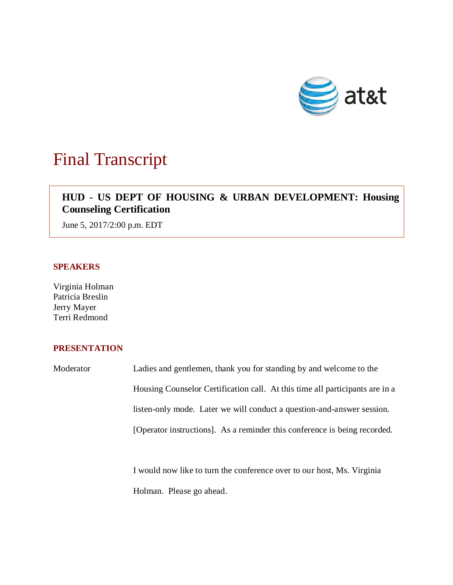

# Final Transcript

## **HUD - US DEPT OF HOUSING & URBAN DEVELOPMENT: Housing Counseling Certification**

June 5, 2017/2:00 p.m. EDT

#### **SPEAKERS**

Virginia Holman Patricia Breslin Jerry Mayer Terri Redmond

### **PRESENTATION**

Moderator Ladies and gentlemen, thank you for standing by and welcome to the Housing Counselor Certification call. At this time all participants are in a listen-only mode. Later we will conduct a question-and-answer session. [Operator instructions]. As a reminder this conference is being recorded.

> I would now like to turn the conference over to our host, Ms. Virginia Holman. Please go ahead.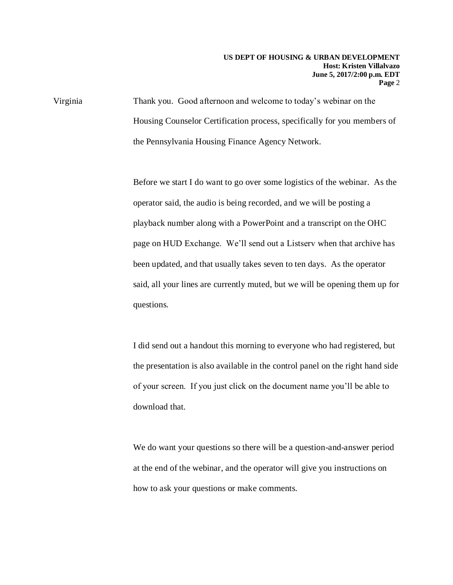Virginia Thank you. Good afternoon and welcome to today's webinar on the Housing Counselor Certification process, specifically for you members of the Pennsylvania Housing Finance Agency Network.

> Before we start I do want to go over some logistics of the webinar. As the operator said, the audio is being recorded, and we will be posting a playback number along with a PowerPoint and a transcript on the OHC page on HUD Exchange. We'll send out a Listserv when that archive has been updated, and that usually takes seven to ten days. As the operator said, all your lines are currently muted, but we will be opening them up for questions.

> I did send out a handout this morning to everyone who had registered, but the presentation is also available in the control panel on the right hand side of your screen. If you just click on the document name you'll be able to download that.

We do want your questions so there will be a question-and-answer period at the end of the webinar, and the operator will give you instructions on how to ask your questions or make comments.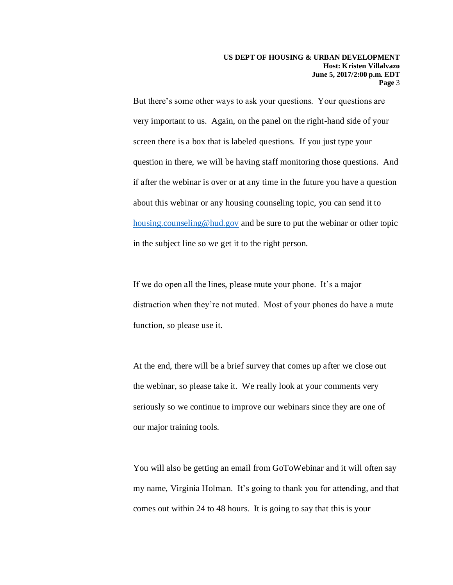But there's some other ways to ask your questions. Your questions are very important to us. Again, on the panel on the right-hand side of your screen there is a box that is labeled questions. If you just type your question in there, we will be having staff monitoring those questions. And if after the webinar is over or at any time in the future you have a question about this webinar or any housing counseling topic, you can send it to [housing.counseling@hud.gov](mailto:housing.counseling@hud.gov) and be sure to put the webinar or other topic in the subject line so we get it to the right person.

If we do open all the lines, please mute your phone. It's a major distraction when they're not muted. Most of your phones do have a mute function, so please use it.

At the end, there will be a brief survey that comes up after we close out the webinar, so please take it. We really look at your comments very seriously so we continue to improve our webinars since they are one of our major training tools.

You will also be getting an email from GoToWebinar and it will often say my name, Virginia Holman. It's going to thank you for attending, and that comes out within 24 to 48 hours. It is going to say that this is your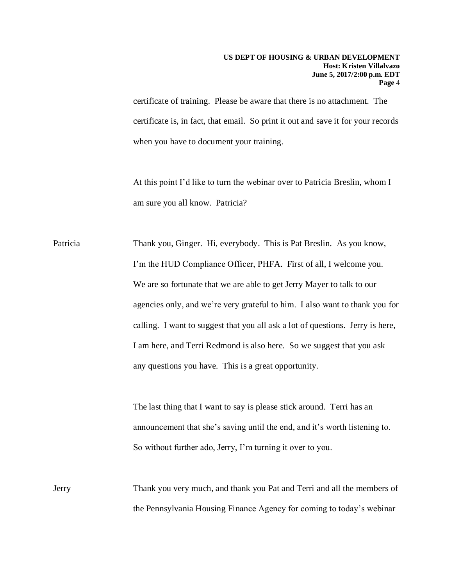certificate of training. Please be aware that there is no attachment. The certificate is, in fact, that email. So print it out and save it for your records when you have to document your training.

At this point I'd like to turn the webinar over to Patricia Breslin, whom I am sure you all know. Patricia?

Patricia Thank you, Ginger. Hi, everybody. This is Pat Breslin. As you know, I'm the HUD Compliance Officer, PHFA. First of all, I welcome you. We are so fortunate that we are able to get Jerry Mayer to talk to our agencies only, and we're very grateful to him. I also want to thank you for calling. I want to suggest that you all ask a lot of questions. Jerry is here, I am here, and Terri Redmond is also here. So we suggest that you ask any questions you have. This is a great opportunity.

> The last thing that I want to say is please stick around. Terri has an announcement that she's saving until the end, and it's worth listening to. So without further ado, Jerry, I'm turning it over to you.

Jerry Thank you very much, and thank you Pat and Terri and all the members of the Pennsylvania Housing Finance Agency for coming to today's webinar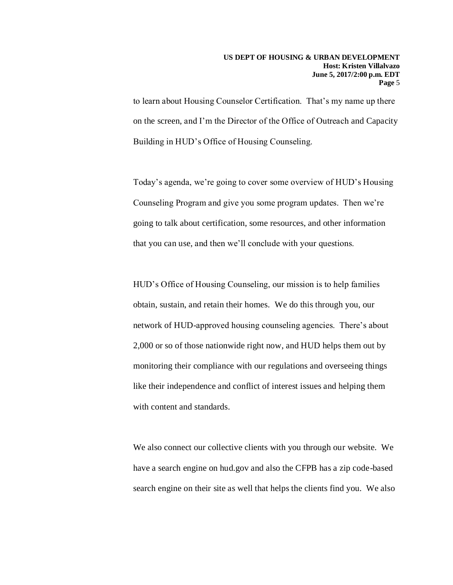to learn about Housing Counselor Certification. That's my name up there on the screen, and I'm the Director of the Office of Outreach and Capacity Building in HUD's Office of Housing Counseling.

Today's agenda, we're going to cover some overview of HUD's Housing Counseling Program and give you some program updates. Then we're going to talk about certification, some resources, and other information that you can use, and then we'll conclude with your questions.

HUD's Office of Housing Counseling, our mission is to help families obtain, sustain, and retain their homes. We do this through you, our network of HUD-approved housing counseling agencies. There's about 2,000 or so of those nationwide right now, and HUD helps them out by monitoring their compliance with our regulations and overseeing things like their independence and conflict of interest issues and helping them with content and standards.

We also connect our collective clients with you through our website. We have a search engine on hud.gov and also the CFPB has a zip code-based search engine on their site as well that helps the clients find you. We also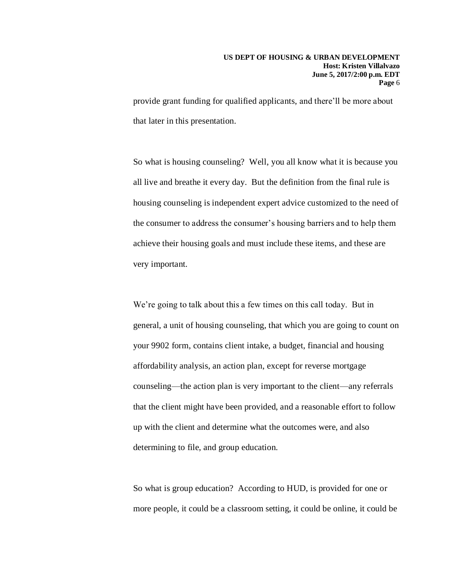provide grant funding for qualified applicants, and there'll be more about that later in this presentation.

So what is housing counseling? Well, you all know what it is because you all live and breathe it every day. But the definition from the final rule is housing counseling is independent expert advice customized to the need of the consumer to address the consumer's housing barriers and to help them achieve their housing goals and must include these items, and these are very important.

We're going to talk about this a few times on this call today. But in general, a unit of housing counseling, that which you are going to count on your 9902 form, contains client intake, a budget, financial and housing affordability analysis, an action plan, except for reverse mortgage counseling—the action plan is very important to the client—any referrals that the client might have been provided, and a reasonable effort to follow up with the client and determine what the outcomes were, and also determining to file, and group education.

So what is group education? According to HUD, is provided for one or more people, it could be a classroom setting, it could be online, it could be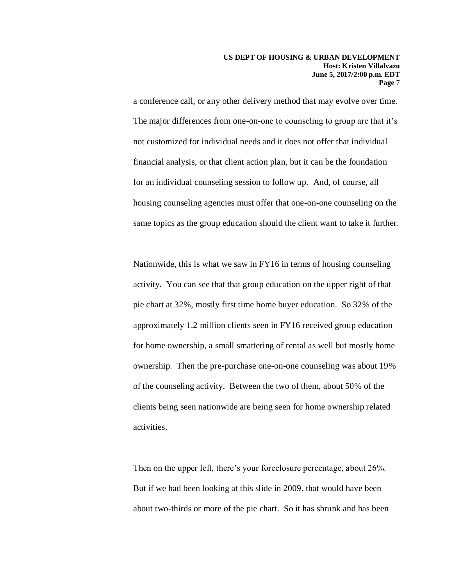a conference call, or any other delivery method that may evolve over time. The major differences from one-on-one to counseling to group are that it's not customized for individual needs and it does not offer that individual financial analysis, or that client action plan, but it can be the foundation for an individual counseling session to follow up. And, of course, all housing counseling agencies must offer that one-on-one counseling on the same topics as the group education should the client want to take it further.

Nationwide, this is what we saw in FY16 in terms of housing counseling activity. You can see that that group education on the upper right of that pie chart at 32%, mostly first time home buyer education. So 32% of the approximately 1.2 million clients seen in FY16 received group education for home ownership, a small smattering of rental as well but mostly home ownership. Then the pre-purchase one-on-one counseling was about 19% of the counseling activity. Between the two of them, about 50% of the clients being seen nationwide are being seen for home ownership related activities.

Then on the upper left, there's your foreclosure percentage, about 26%. But if we had been looking at this slide in 2009, that would have been about two-thirds or more of the pie chart. So it has shrunk and has been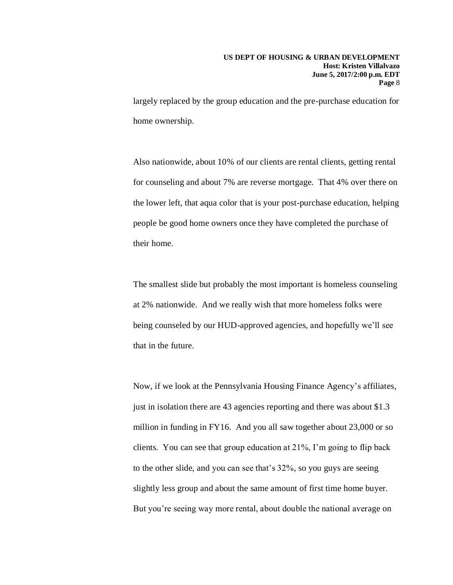largely replaced by the group education and the pre-purchase education for home ownership.

Also nationwide, about 10% of our clients are rental clients, getting rental for counseling and about 7% are reverse mortgage. That 4% over there on the lower left, that aqua color that is your post-purchase education, helping people be good home owners once they have completed the purchase of their home.

The smallest slide but probably the most important is homeless counseling at 2% nationwide. And we really wish that more homeless folks were being counseled by our HUD-approved agencies, and hopefully we'll see that in the future.

Now, if we look at the Pennsylvania Housing Finance Agency's affiliates, just in isolation there are 43 agencies reporting and there was about \$1.3 million in funding in FY16. And you all saw together about 23,000 or so clients. You can see that group education at 21%, I'm going to flip back to the other slide, and you can see that's 32%, so you guys are seeing slightly less group and about the same amount of first time home buyer. But you're seeing way more rental, about double the national average on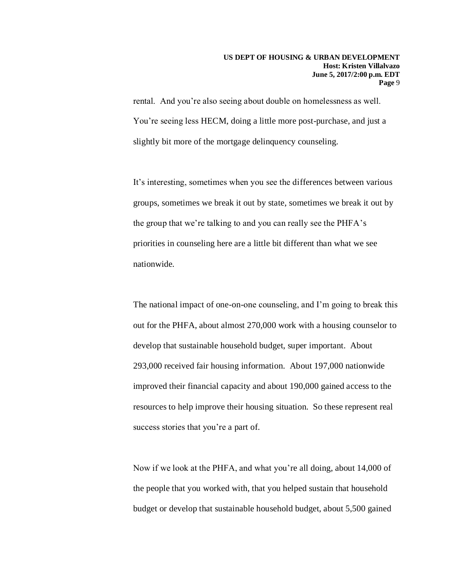rental. And you're also seeing about double on homelessness as well. You're seeing less HECM, doing a little more post-purchase, and just a slightly bit more of the mortgage delinquency counseling.

It's interesting, sometimes when you see the differences between various groups, sometimes we break it out by state, sometimes we break it out by the group that we're talking to and you can really see the PHFA's priorities in counseling here are a little bit different than what we see nationwide.

The national impact of one-on-one counseling, and I'm going to break this out for the PHFA, about almost 270,000 work with a housing counselor to develop that sustainable household budget, super important. About 293,000 received fair housing information. About 197,000 nationwide improved their financial capacity and about 190,000 gained access to the resources to help improve their housing situation. So these represent real success stories that you're a part of.

Now if we look at the PHFA, and what you're all doing, about 14,000 of the people that you worked with, that you helped sustain that household budget or develop that sustainable household budget, about 5,500 gained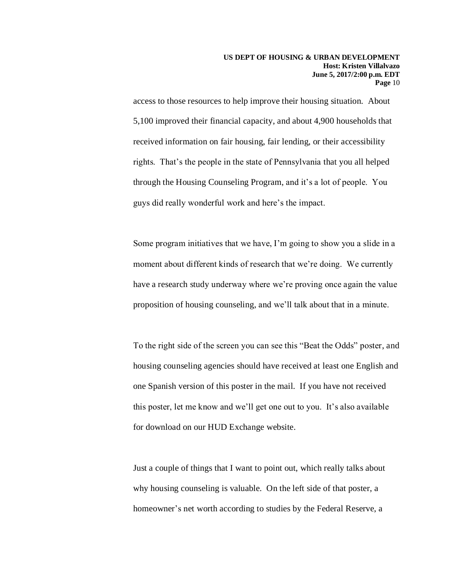access to those resources to help improve their housing situation. About 5,100 improved their financial capacity, and about 4,900 households that received information on fair housing, fair lending, or their accessibility rights. That's the people in the state of Pennsylvania that you all helped through the Housing Counseling Program, and it's a lot of people. You guys did really wonderful work and here's the impact.

Some program initiatives that we have, I'm going to show you a slide in a moment about different kinds of research that we're doing. We currently have a research study underway where we're proving once again the value proposition of housing counseling, and we'll talk about that in a minute.

To the right side of the screen you can see this "Beat the Odds" poster, and housing counseling agencies should have received at least one English and one Spanish version of this poster in the mail. If you have not received this poster, let me know and we'll get one out to you. It's also available for download on our HUD Exchange website.

Just a couple of things that I want to point out, which really talks about why housing counseling is valuable. On the left side of that poster, a homeowner's net worth according to studies by the Federal Reserve, a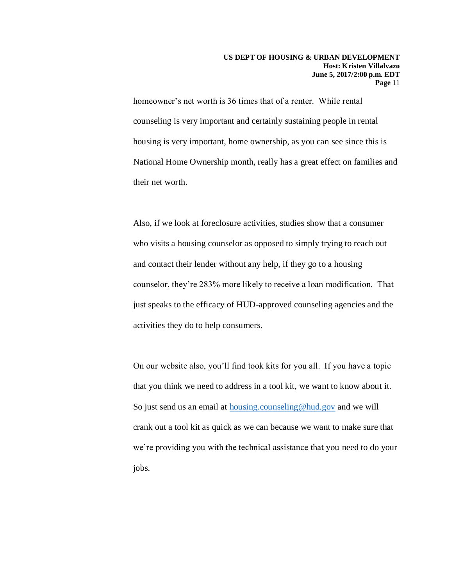homeowner's net worth is 36 times that of a renter. While rental counseling is very important and certainly sustaining people in rental housing is very important, home ownership, as you can see since this is National Home Ownership month, really has a great effect on families and their net worth.

Also, if we look at foreclosure activities, studies show that a consumer who visits a housing counselor as opposed to simply trying to reach out and contact their lender without any help, if they go to a housing counselor, they're 283% more likely to receive a loan modification. That just speaks to the efficacy of HUD-approved counseling agencies and the activities they do to help consumers.

On our website also, you'll find took kits for you all. If you have a topic that you think we need to address in a tool kit, we want to know about it. So just send us an email at [housing.counseling@hud.gov](mailto:housing.counseling@hud.gov) and we will crank out a tool kit as quick as we can because we want to make sure that we're providing you with the technical assistance that you need to do your jobs.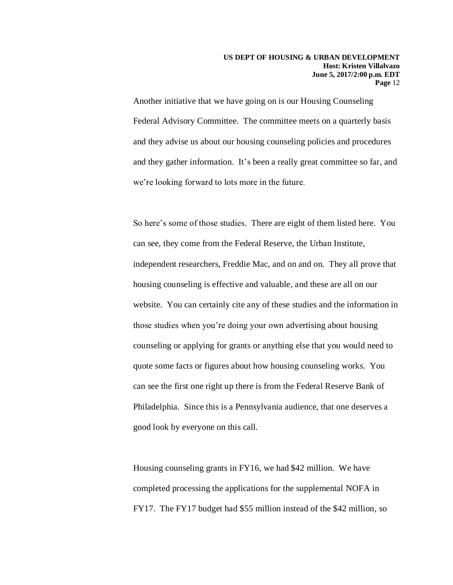Another initiative that we have going on is our Housing Counseling Federal Advisory Committee. The committee meets on a quarterly basis and they advise us about our housing counseling policies and procedures and they gather information. It's been a really great committee so far, and we're looking forward to lots more in the future.

So here's some of those studies. There are eight of them listed here. You can see, they come from the Federal Reserve, the Urban Institute, independent researchers, Freddie Mac, and on and on. They all prove that housing counseling is effective and valuable, and these are all on our website. You can certainly cite any of these studies and the information in those studies when you're doing your own advertising about housing counseling or applying for grants or anything else that you would need to quote some facts or figures about how housing counseling works. You can see the first one right up there is from the Federal Reserve Bank of Philadelphia. Since this is a Pennsylvania audience, that one deserves a good look by everyone on this call.

Housing counseling grants in FY16, we had \$42 million. We have completed processing the applications for the supplemental NOFA in FY17. The FY17 budget had \$55 million instead of the \$42 million, so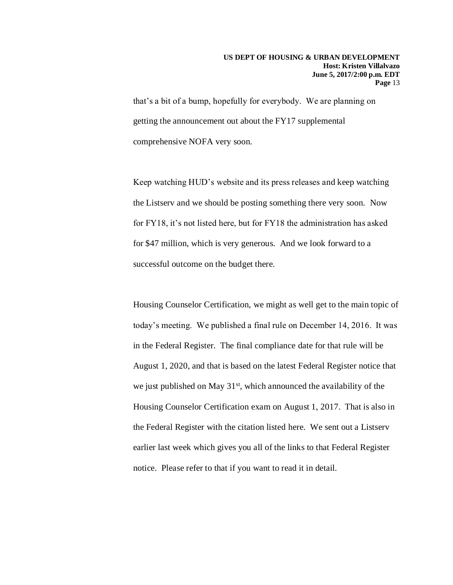that's a bit of a bump, hopefully for everybody. We are planning on getting the announcement out about the FY17 supplemental comprehensive NOFA very soon.

Keep watching HUD's website and its press releases and keep watching the Listserv and we should be posting something there very soon. Now for FY18, it's not listed here, but for FY18 the administration has asked for \$47 million, which is very generous. And we look forward to a successful outcome on the budget there.

Housing Counselor Certification, we might as well get to the main topic of today's meeting. We published a final rule on December 14, 2016. It was in the Federal Register. The final compliance date for that rule will be August 1, 2020, and that is based on the latest Federal Register notice that we just published on May 31<sup>st</sup>, which announced the availability of the Housing Counselor Certification exam on August 1, 2017. That is also in the Federal Register with the citation listed here. We sent out a Listserv earlier last week which gives you all of the links to that Federal Register notice. Please refer to that if you want to read it in detail.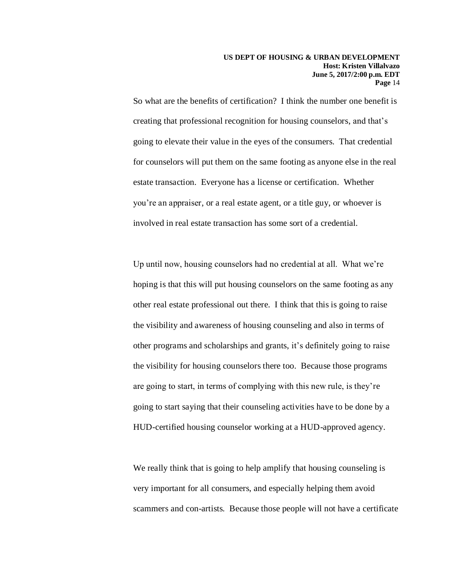So what are the benefits of certification? I think the number one benefit is creating that professional recognition for housing counselors, and that's going to elevate their value in the eyes of the consumers. That credential for counselors will put them on the same footing as anyone else in the real estate transaction. Everyone has a license or certification. Whether you're an appraiser, or a real estate agent, or a title guy, or whoever is involved in real estate transaction has some sort of a credential.

Up until now, housing counselors had no credential at all. What we're hoping is that this will put housing counselors on the same footing as any other real estate professional out there. I think that this is going to raise the visibility and awareness of housing counseling and also in terms of other programs and scholarships and grants, it's definitely going to raise the visibility for housing counselors there too. Because those programs are going to start, in terms of complying with this new rule, is they're going to start saying that their counseling activities have to be done by a HUD-certified housing counselor working at a HUD-approved agency.

We really think that is going to help amplify that housing counseling is very important for all consumers, and especially helping them avoid scammers and con-artists. Because those people will not have a certificate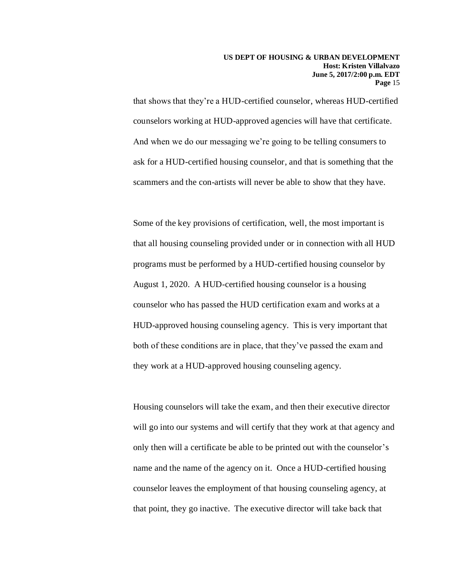that shows that they're a HUD-certified counselor, whereas HUD-certified counselors working at HUD-approved agencies will have that certificate. And when we do our messaging we're going to be telling consumers to ask for a HUD-certified housing counselor, and that is something that the scammers and the con-artists will never be able to show that they have.

Some of the key provisions of certification, well, the most important is that all housing counseling provided under or in connection with all HUD programs must be performed by a HUD-certified housing counselor by August 1, 2020. A HUD-certified housing counselor is a housing counselor who has passed the HUD certification exam and works at a HUD-approved housing counseling agency. This is very important that both of these conditions are in place, that they've passed the exam and they work at a HUD-approved housing counseling agency.

Housing counselors will take the exam, and then their executive director will go into our systems and will certify that they work at that agency and only then will a certificate be able to be printed out with the counselor's name and the name of the agency on it. Once a HUD-certified housing counselor leaves the employment of that housing counseling agency, at that point, they go inactive. The executive director will take back that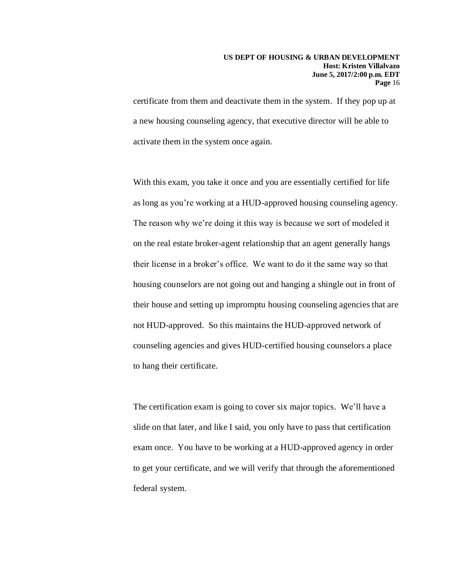certificate from them and deactivate them in the system. If they pop up at a new housing counseling agency, that executive director will be able to activate them in the system once again.

With this exam, you take it once and you are essentially certified for life as long as you're working at a HUD-approved housing counseling agency. The reason why we're doing it this way is because we sort of modeled it on the real estate broker-agent relationship that an agent generally hangs their license in a broker's office. We want to do it the same way so that housing counselors are not going out and hanging a shingle out in front of their house and setting up impromptu housing counseling agencies that are not HUD-approved. So this maintains the HUD-approved network of counseling agencies and gives HUD-certified housing counselors a place to hang their certificate.

The certification exam is going to cover six major topics. We'll have a slide on that later, and like I said, you only have to pass that certification exam once. You have to be working at a HUD-approved agency in order to get your certificate, and we will verify that through the aforementioned federal system.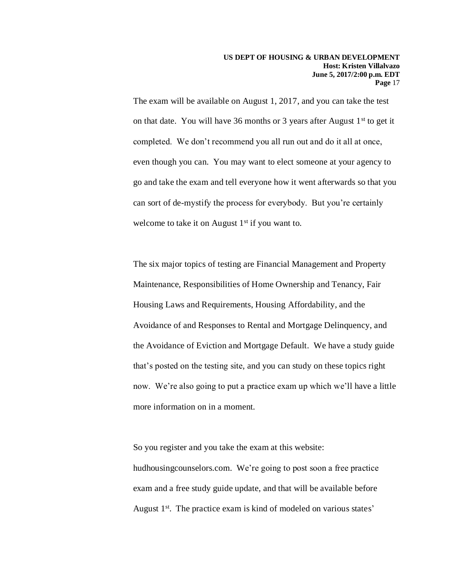The exam will be available on August 1, 2017, and you can take the test on that date. You will have 36 months or 3 years after August  $1<sup>st</sup>$  to get it completed. We don't recommend you all run out and do it all at once, even though you can. You may want to elect someone at your agency to go and take the exam and tell everyone how it went afterwards so that you can sort of de-mystify the process for everybody. But you're certainly welcome to take it on August  $1<sup>st</sup>$  if you want to.

The six major topics of testing are Financial Management and Property Maintenance, Responsibilities of Home Ownership and Tenancy, Fair Housing Laws and Requirements, Housing Affordability, and the Avoidance of and Responses to Rental and Mortgage Delinquency, and the Avoidance of Eviction and Mortgage Default. We have a study guide that's posted on the testing site, and you can study on these topics right now. We're also going to put a practice exam up which we'll have a little more information on in a moment.

So you register and you take the exam at this website: hudhousingcounselors.com. We're going to post soon a free practice exam and a free study guide update, and that will be available before August 1<sup>st</sup>. The practice exam is kind of modeled on various states'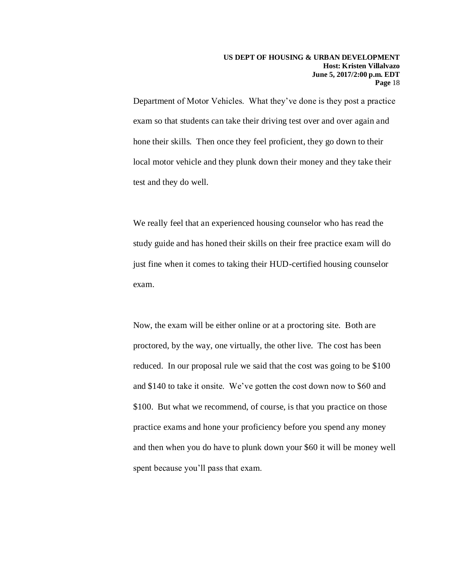Department of Motor Vehicles. What they've done is they post a practice exam so that students can take their driving test over and over again and hone their skills. Then once they feel proficient, they go down to their local motor vehicle and they plunk down their money and they take their test and they do well.

We really feel that an experienced housing counselor who has read the study guide and has honed their skills on their free practice exam will do just fine when it comes to taking their HUD-certified housing counselor exam.

Now, the exam will be either online or at a proctoring site. Both are proctored, by the way, one virtually, the other live. The cost has been reduced. In our proposal rule we said that the cost was going to be \$100 and \$140 to take it onsite. We've gotten the cost down now to \$60 and \$100. But what we recommend, of course, is that you practice on those practice exams and hone your proficiency before you spend any money and then when you do have to plunk down your \$60 it will be money well spent because you'll pass that exam.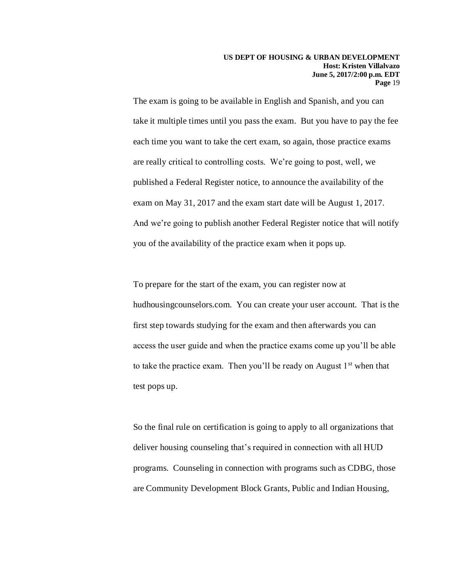The exam is going to be available in English and Spanish, and you can take it multiple times until you pass the exam. But you have to pay the fee each time you want to take the cert exam, so again, those practice exams are really critical to controlling costs. We're going to post, well, we published a Federal Register notice, to announce the availability of the exam on May 31, 2017 and the exam start date will be August 1, 2017. And we're going to publish another Federal Register notice that will notify you of the availability of the practice exam when it pops up.

To prepare for the start of the exam, you can register now at hudhousingcounselors.com. You can create your user account. That is the first step towards studying for the exam and then afterwards you can access the user guide and when the practice exams come up you'll be able to take the practice exam. Then you'll be ready on August  $1<sup>st</sup>$  when that test pops up.

So the final rule on certification is going to apply to all organizations that deliver housing counseling that's required in connection with all HUD programs. Counseling in connection with programs such as CDBG, those are Community Development Block Grants, Public and Indian Housing,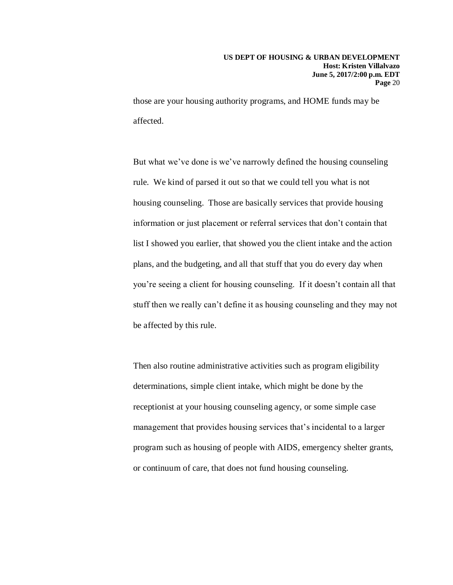those are your housing authority programs, and HOME funds may be affected.

But what we've done is we've narrowly defined the housing counseling rule. We kind of parsed it out so that we could tell you what is not housing counseling. Those are basically services that provide housing information or just placement or referral services that don't contain that list I showed you earlier, that showed you the client intake and the action plans, and the budgeting, and all that stuff that you do every day when you're seeing a client for housing counseling. If it doesn't contain all that stuff then we really can't define it as housing counseling and they may not be affected by this rule.

Then also routine administrative activities such as program eligibility determinations, simple client intake, which might be done by the receptionist at your housing counseling agency, or some simple case management that provides housing services that's incidental to a larger program such as housing of people with AIDS, emergency shelter grants, or continuum of care, that does not fund housing counseling.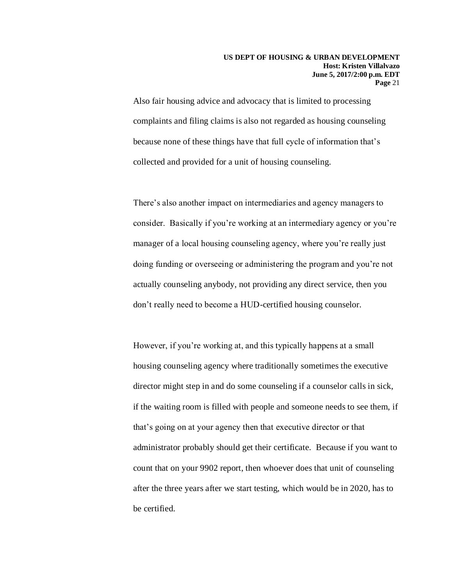Also fair housing advice and advocacy that is limited to processing complaints and filing claims is also not regarded as housing counseling because none of these things have that full cycle of information that's collected and provided for a unit of housing counseling.

There's also another impact on intermediaries and agency managers to consider. Basically if you're working at an intermediary agency or you're manager of a local housing counseling agency, where you're really just doing funding or overseeing or administering the program and you're not actually counseling anybody, not providing any direct service, then you don't really need to become a HUD-certified housing counselor.

However, if you're working at, and this typically happens at a small housing counseling agency where traditionally sometimes the executive director might step in and do some counseling if a counselor calls in sick, if the waiting room is filled with people and someone needs to see them, if that's going on at your agency then that executive director or that administrator probably should get their certificate. Because if you want to count that on your 9902 report, then whoever does that unit of counseling after the three years after we start testing, which would be in 2020, has to be certified.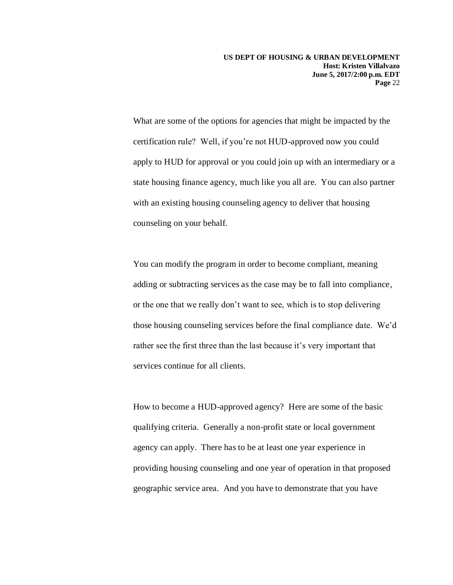What are some of the options for agencies that might be impacted by the certification rule? Well, if you're not HUD-approved now you could apply to HUD for approval or you could join up with an intermediary or a state housing finance agency, much like you all are. You can also partner with an existing housing counseling agency to deliver that housing counseling on your behalf.

You can modify the program in order to become compliant, meaning adding or subtracting services as the case may be to fall into compliance, or the one that we really don't want to see, which is to stop delivering those housing counseling services before the final compliance date. We'd rather see the first three than the last because it's very important that services continue for all clients.

How to become a HUD-approved agency? Here are some of the basic qualifying criteria. Generally a non-profit state or local government agency can apply. There has to be at least one year experience in providing housing counseling and one year of operation in that proposed geographic service area. And you have to demonstrate that you have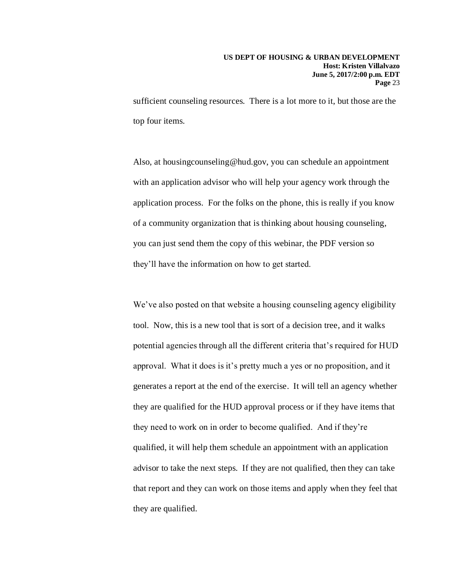sufficient counseling resources. There is a lot more to it, but those are the top four items.

Also, at housingcounseling@hud.gov, you can schedule an appointment with an application advisor who will help your agency work through the application process. For the folks on the phone, this is really if you know of a community organization that is thinking about housing counseling, you can just send them the copy of this webinar, the PDF version so they'll have the information on how to get started.

We've also posted on that website a housing counseling agency eligibility tool. Now, this is a new tool that is sort of a decision tree, and it walks potential agencies through all the different criteria that's required for HUD approval. What it does is it's pretty much a yes or no proposition, and it generates a report at the end of the exercise. It will tell an agency whether they are qualified for the HUD approval process or if they have items that they need to work on in order to become qualified. And if they're qualified, it will help them schedule an appointment with an application advisor to take the next steps. If they are not qualified, then they can take that report and they can work on those items and apply when they feel that they are qualified.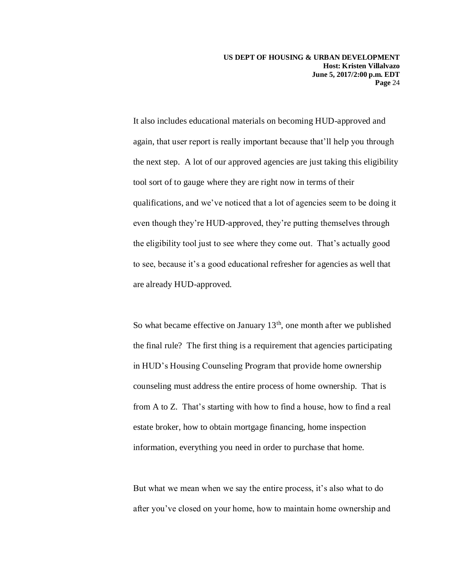**US DEPT OF HOUSING & URBAN DEVELOPMENT Host: Kristen Villalvazo June 5, 2017/2:00 p.m. EDT Page** 24

It also includes educational materials on becoming HUD-approved and again, that user report is really important because that'll help you through the next step. A lot of our approved agencies are just taking this eligibility tool sort of to gauge where they are right now in terms of their qualifications, and we've noticed that a lot of agencies seem to be doing it even though they're HUD-approved, they're putting themselves through the eligibility tool just to see where they come out. That's actually good to see, because it's a good educational refresher for agencies as well that are already HUD-approved.

So what became effective on January  $13<sup>th</sup>$ , one month after we published the final rule? The first thing is a requirement that agencies participating in HUD's Housing Counseling Program that provide home ownership counseling must address the entire process of home ownership. That is from A to Z. That's starting with how to find a house, how to find a real estate broker, how to obtain mortgage financing, home inspection information, everything you need in order to purchase that home.

But what we mean when we say the entire process, it's also what to do after you've closed on your home, how to maintain home ownership and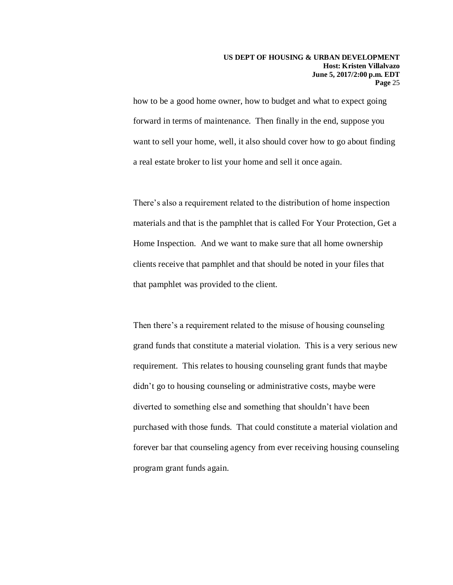how to be a good home owner, how to budget and what to expect going forward in terms of maintenance. Then finally in the end, suppose you want to sell your home, well, it also should cover how to go about finding a real estate broker to list your home and sell it once again.

There's also a requirement related to the distribution of home inspection materials and that is the pamphlet that is called For Your Protection, Get a Home Inspection. And we want to make sure that all home ownership clients receive that pamphlet and that should be noted in your files that that pamphlet was provided to the client.

Then there's a requirement related to the misuse of housing counseling grand funds that constitute a material violation. This is a very serious new requirement. This relates to housing counseling grant funds that maybe didn't go to housing counseling or administrative costs, maybe were diverted to something else and something that shouldn't have been purchased with those funds. That could constitute a material violation and forever bar that counseling agency from ever receiving housing counseling program grant funds again.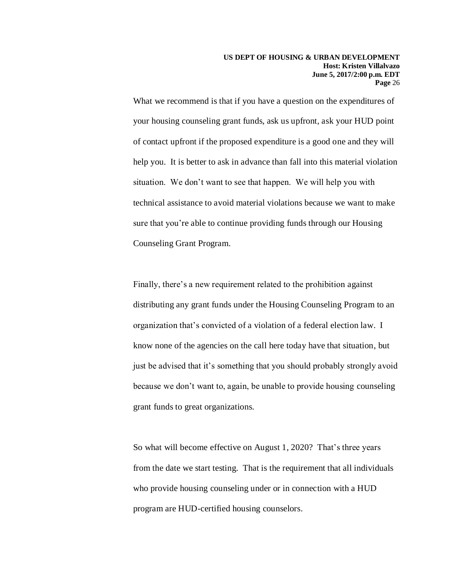What we recommend is that if you have a question on the expenditures of your housing counseling grant funds, ask us upfront, ask your HUD point of contact upfront if the proposed expenditure is a good one and they will help you. It is better to ask in advance than fall into this material violation situation. We don't want to see that happen. We will help you with technical assistance to avoid material violations because we want to make sure that you're able to continue providing funds through our Housing Counseling Grant Program.

Finally, there's a new requirement related to the prohibition against distributing any grant funds under the Housing Counseling Program to an organization that's convicted of a violation of a federal election law. I know none of the agencies on the call here today have that situation, but just be advised that it's something that you should probably strongly avoid because we don't want to, again, be unable to provide housing counseling grant funds to great organizations.

So what will become effective on August 1, 2020? That's three years from the date we start testing. That is the requirement that all individuals who provide housing counseling under or in connection with a HUD program are HUD-certified housing counselors.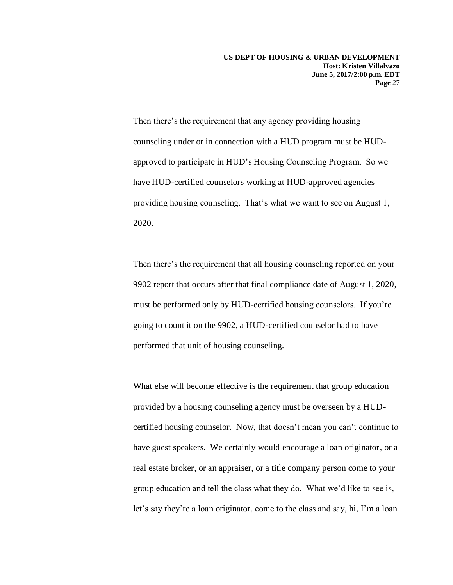Then there's the requirement that any agency providing housing counseling under or in connection with a HUD program must be HUDapproved to participate in HUD's Housing Counseling Program. So we have HUD-certified counselors working at HUD-approved agencies providing housing counseling. That's what we want to see on August 1, 2020.

Then there's the requirement that all housing counseling reported on your 9902 report that occurs after that final compliance date of August 1, 2020, must be performed only by HUD-certified housing counselors. If you're going to count it on the 9902, a HUD-certified counselor had to have performed that unit of housing counseling.

What else will become effective is the requirement that group education provided by a housing counseling agency must be overseen by a HUDcertified housing counselor. Now, that doesn't mean you can't continue to have guest speakers. We certainly would encourage a loan originator, or a real estate broker, or an appraiser, or a title company person come to your group education and tell the class what they do. What we'd like to see is, let's say they're a loan originator, come to the class and say, hi, I'm a loan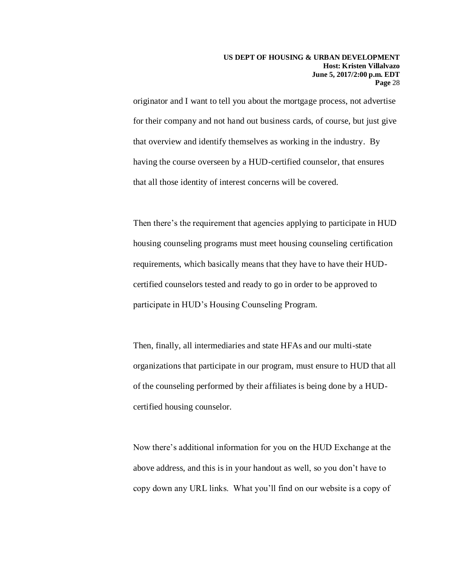originator and I want to tell you about the mortgage process, not advertise for their company and not hand out business cards, of course, but just give that overview and identify themselves as working in the industry. By having the course overseen by a HUD-certified counselor, that ensures that all those identity of interest concerns will be covered.

Then there's the requirement that agencies applying to participate in HUD housing counseling programs must meet housing counseling certification requirements, which basically means that they have to have their HUDcertified counselors tested and ready to go in order to be approved to participate in HUD's Housing Counseling Program.

Then, finally, all intermediaries and state HFAs and our multi-state organizations that participate in our program, must ensure to HUD that all of the counseling performed by their affiliates is being done by a HUDcertified housing counselor.

Now there's additional information for you on the HUD Exchange at the above address, and this is in your handout as well, so you don't have to copy down any URL links. What you'll find on our website is a copy of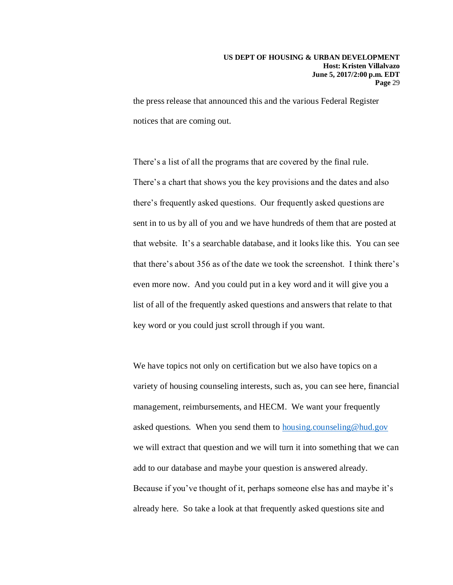the press release that announced this and the various Federal Register notices that are coming out.

There's a list of all the programs that are covered by the final rule. There's a chart that shows you the key provisions and the dates and also there's frequently asked questions. Our frequently asked questions are sent in to us by all of you and we have hundreds of them that are posted at that website. It's a searchable database, and it looks like this. You can see that there's about 356 as of the date we took the screenshot. I think there's even more now. And you could put in a key word and it will give you a list of all of the frequently asked questions and answers that relate to that key word or you could just scroll through if you want.

We have topics not only on certification but we also have topics on a variety of housing counseling interests, such as, you can see here, financial management, reimbursements, and HECM. We want your frequently asked questions. When you send them to [housing.counseling@hud.gov](mailto:housing.counseling@hud.gov) we will extract that question and we will turn it into something that we can add to our database and maybe your question is answered already. Because if you've thought of it, perhaps someone else has and maybe it's already here. So take a look at that frequently asked questions site and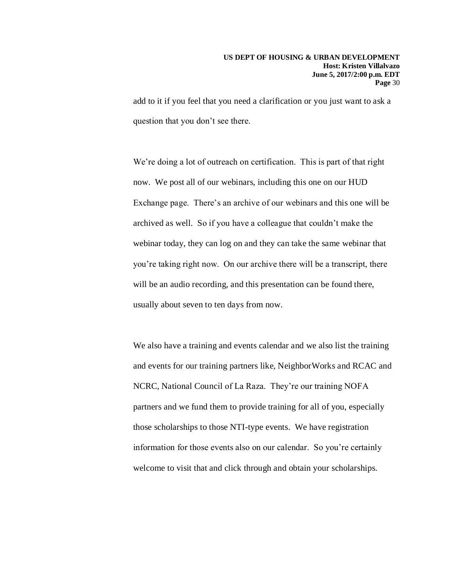add to it if you feel that you need a clarification or you just want to ask a question that you don't see there.

We're doing a lot of outreach on certification. This is part of that right now. We post all of our webinars, including this one on our HUD Exchange page. There's an archive of our webinars and this one will be archived as well. So if you have a colleague that couldn't make the webinar today, they can log on and they can take the same webinar that you're taking right now. On our archive there will be a transcript, there will be an audio recording, and this presentation can be found there, usually about seven to ten days from now.

We also have a training and events calendar and we also list the training and events for our training partners like, NeighborWorks and RCAC and NCRC, National Council of La Raza. They're our training NOFA partners and we fund them to provide training for all of you, especially those scholarships to those NTI-type events. We have registration information for those events also on our calendar. So you're certainly welcome to visit that and click through and obtain your scholarships.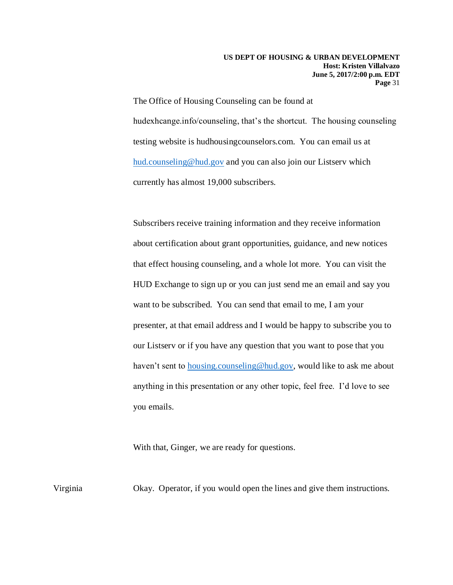The Office of Housing Counseling can be found at hudexhcange.info/counseling, that's the shortcut. The housing counseling testing website is hudhousingcounselors.com. You can email us at [hud.counseling@hud.gov](mailto:hud.counseling@hud.gov) and you can also join our Listserv which currently has almost 19,000 subscribers.

Subscribers receive training information and they receive information about certification about grant opportunities, guidance, and new notices that effect housing counseling, and a whole lot more. You can visit the HUD Exchange to sign up or you can just send me an email and say you want to be subscribed. You can send that email to me, I am your presenter, at that email address and I would be happy to subscribe you to our Listserv or if you have any question that you want to pose that you haven't sent to [housing.counseling@hud.gov,](mailto:housing.counseling@hud.gov) would like to ask me about anything in this presentation or any other topic, feel free. I'd love to see you emails.

With that, Ginger, we are ready for questions.

Virginia Okay. Operator, if you would open the lines and give them instructions.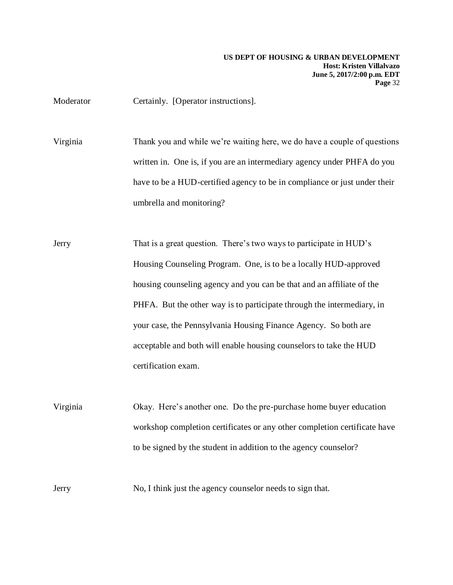Moderator **Certainly.** [Operator instructions].

Virginia Thank you and while we're waiting here, we do have a couple of questions written in. One is, if you are an intermediary agency under PHFA do you have to be a HUD-certified agency to be in compliance or just under their umbrella and monitoring?

Jerry That is a great question. There's two ways to participate in HUD's Housing Counseling Program. One, is to be a locally HUD-approved housing counseling agency and you can be that and an affiliate of the PHFA. But the other way is to participate through the intermediary, in your case, the Pennsylvania Housing Finance Agency. So both are acceptable and both will enable housing counselors to take the HUD certification exam.

Virginia Okay. Here's another one. Do the pre-purchase home buyer education workshop completion certificates or any other completion certificate have to be signed by the student in addition to the agency counselor?

Jerry No, I think just the agency counselor needs to sign that.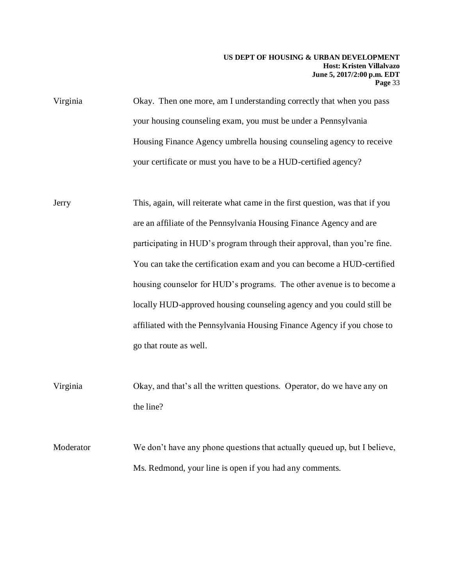- Jerry This, again, will reiterate what came in the first question, was that if you are an affiliate of the Pennsylvania Housing Finance Agency and are participating in HUD's program through their approval, than you're fine. You can take the certification exam and you can become a HUD-certified housing counselor for HUD's programs. The other avenue is to become a locally HUD-approved housing counseling agency and you could still be affiliated with the Pennsylvania Housing Finance Agency if you chose to go that route as well.
- Virginia Okay, and that's all the written questions. Operator, do we have any on the line?
- Moderator We don't have any phone questions that actually queued up, but I believe, Ms. Redmond, your line is open if you had any comments.

Virginia Okay. Then one more, am I understanding correctly that when you pass your housing counseling exam, you must be under a Pennsylvania Housing Finance Agency umbrella housing counseling agency to receive your certificate or must you have to be a HUD-certified agency?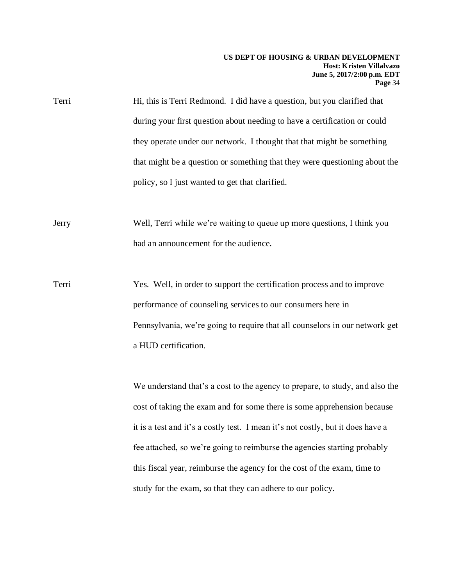#### **US DEPT OF HOUSING & URBAN DEVELOPMENT Host: Kristen Villalvazo June 5, 2017/2:00 p.m. EDT Page** 34

| Terri | Hi, this is Terri Redmond. I did have a question, but you clarified that   |
|-------|----------------------------------------------------------------------------|
|       | during your first question about needing to have a certification or could  |
|       | they operate under our network. I thought that that might be something     |
|       | that might be a question or something that they were questioning about the |
|       | policy, so I just wanted to get that clarified.                            |

Jerry Well, Terri while we're waiting to queue up more questions, I think you had an announcement for the audience.

Terri Yes. Well, in order to support the certification process and to improve performance of counseling services to our consumers here in Pennsylvania, we're going to require that all counselors in our network get a HUD certification.

> We understand that's a cost to the agency to prepare, to study, and also the cost of taking the exam and for some there is some apprehension because it is a test and it's a costly test. I mean it's not costly, but it does have a fee attached, so we're going to reimburse the agencies starting probably this fiscal year, reimburse the agency for the cost of the exam, time to study for the exam, so that they can adhere to our policy.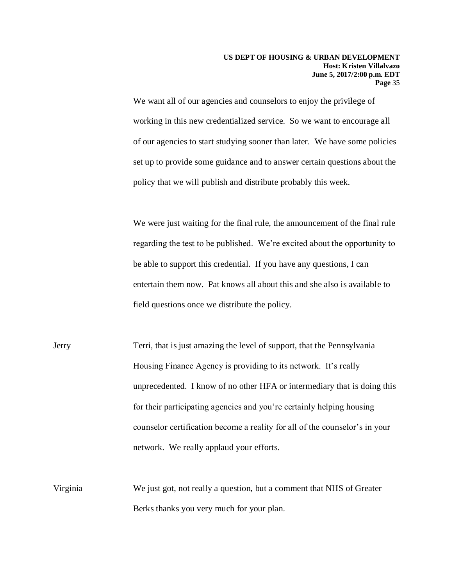We want all of our agencies and counselors to enjoy the privilege of working in this new credentialized service. So we want to encourage all of our agencies to start studying sooner than later. We have some policies set up to provide some guidance and to answer certain questions about the policy that we will publish and distribute probably this week.

We were just waiting for the final rule, the announcement of the final rule regarding the test to be published. We're excited about the opportunity to be able to support this credential. If you have any questions, I can entertain them now. Pat knows all about this and she also is available to field questions once we distribute the policy.

- Jerry Terri, that is just amazing the level of support, that the Pennsylvania Housing Finance Agency is providing to its network. It's really unprecedented. I know of no other HFA or intermediary that is doing this for their participating agencies and you're certainly helping housing counselor certification become a reality for all of the counselor's in your network. We really applaud your efforts.
- Virginia We just got, not really a question, but a comment that NHS of Greater Berks thanks you very much for your plan.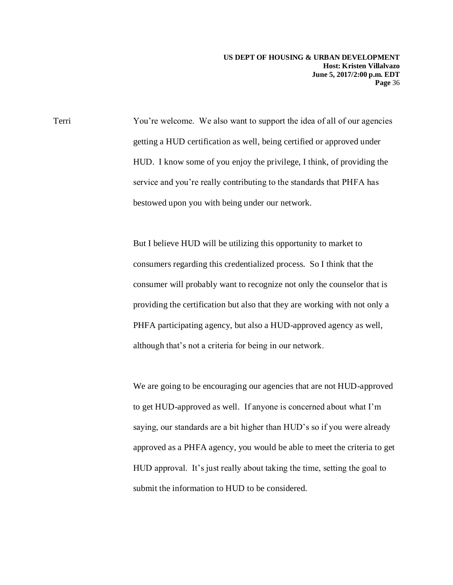**US DEPT OF HOUSING & URBAN DEVELOPMENT Host: Kristen Villalvazo June 5, 2017/2:00 p.m. EDT Page** 36

Terri You're welcome. We also want to support the idea of all of our agencies getting a HUD certification as well, being certified or approved under HUD. I know some of you enjoy the privilege, I think, of providing the service and you're really contributing to the standards that PHFA has bestowed upon you with being under our network.

> But I believe HUD will be utilizing this opportunity to market to consumers regarding this credentialized process. So I think that the consumer will probably want to recognize not only the counselor that is providing the certification but also that they are working with not only a PHFA participating agency, but also a HUD-approved agency as well, although that's not a criteria for being in our network.

We are going to be encouraging our agencies that are not HUD-approved to get HUD-approved as well. If anyone is concerned about what I'm saying, our standards are a bit higher than HUD's so if you were already approved as a PHFA agency, you would be able to meet the criteria to get HUD approval. It's just really about taking the time, setting the goal to submit the information to HUD to be considered.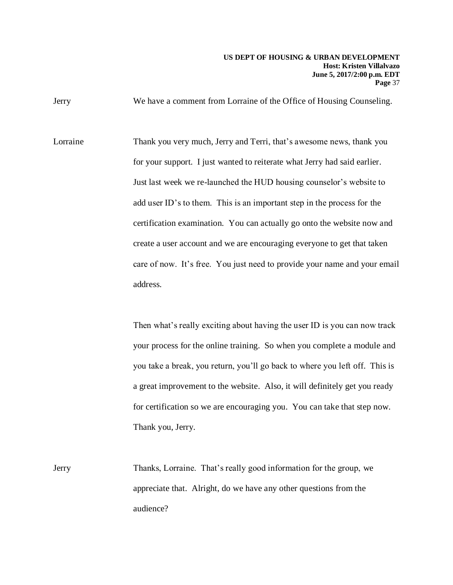Jerry We have a comment from Lorraine of the Office of Housing Counseling.

Lorraine Thank you very much, Jerry and Terri, that's awesome news, thank you for your support. I just wanted to reiterate what Jerry had said earlier. Just last week we re-launched the HUD housing counselor's website to add user ID's to them. This is an important step in the process for the certification examination. You can actually go onto the website now and create a user account and we are encouraging everyone to get that taken care of now. It's free. You just need to provide your name and your email address.

> Then what's really exciting about having the user ID is you can now track your process for the online training. So when you complete a module and you take a break, you return, you'll go back to where you left off. This is a great improvement to the website. Also, it will definitely get you ready for certification so we are encouraging you. You can take that step now. Thank you, Jerry.

Jerry Thanks, Lorraine. That's really good information for the group, we appreciate that. Alright, do we have any other questions from the audience?